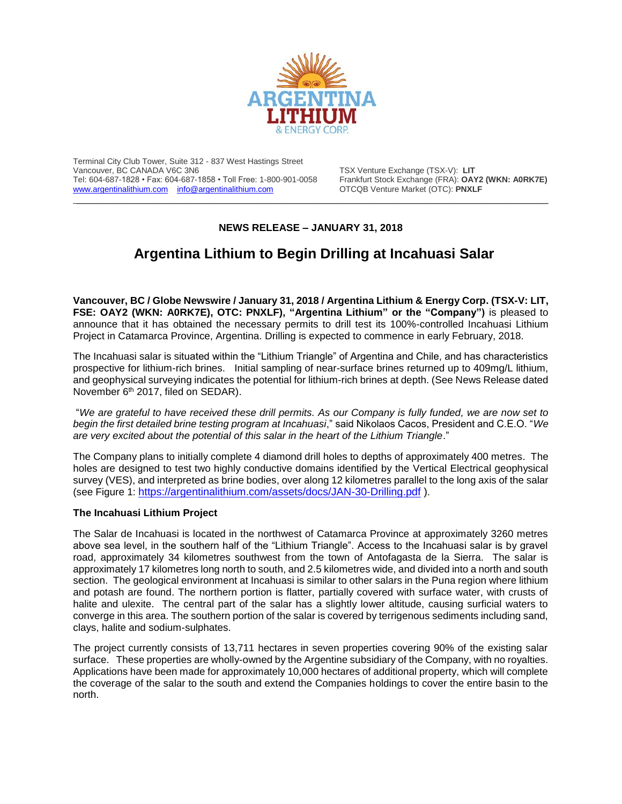

Terminal City Club Tower, Suite 312 - 837 West Hastings Street Vancouver, BC CANADA V6C 3N6<br>Tel: 604-687-1828 • Fax: 604-687-1858 • Toll Free: 1-800-901-0058 Frankfurt Stock Exchange (FRA): **OAY2 (WKN: A0RK7E)** Tel: 604-687-1828 • Fax: 604-687-1858 • Toll Free: 1-800-901-0058 Frankfurt Stock Exchange (FRA): OAY2<br>
www.argentinalithium.com info@argentinalithium.com OTCQB Venture Market (OTC): PNXLF [www.argentinalithium.com](http://www.argentinalithium.com/) [info@argentinalithium.com](mailto:info@argentinalithium.com)

## **NEWS RELEASE – JANUARY 31, 2018**

 $\_$  , and the state of the state of the state of the state of the state of the state of the state of the state of the state of the state of the state of the state of the state of the state of the state of the state of the

## **Argentina Lithium to Begin Drilling at Incahuasi Salar**

**Vancouver, BC / Globe Newswire / January 31, 2018 / Argentina Lithium & Energy Corp. (TSX-V: LIT, FSE: OAY2 (WKN: A0RK7E), OTC: PNXLF), "Argentina Lithium" or the "Company")** is pleased to announce that it has obtained the necessary permits to drill test its 100%-controlled Incahuasi Lithium Project in Catamarca Province, Argentina. Drilling is expected to commence in early February, 2018.

The Incahuasi salar is situated within the "Lithium Triangle" of Argentina and Chile, and has characteristics prospective for lithium-rich brines. Initial sampling of near-surface brines returned up to 409mg/L lithium, and geophysical surveying indicates the potential for lithium-rich brines at depth. (See News Release dated November 6<sup>th</sup> 2017, filed on SEDAR).

"*We are grateful to have received these drill permits. As our Company is fully funded, we are now set to begin the first detailed brine testing program at Incahuasi*," said Nikolaos Cacos, President and C.E.O. "*We are very excited about the potential of this salar in the heart of the Lithium Triangle*."

The Company plans to initially complete 4 diamond drill holes to depths of approximately 400 metres. The holes are designed to test two highly conductive domains identified by the Vertical Electrical geophysical survey (VES), and interpreted as brine bodies, over along 12 kilometres parallel to the long axis of the salar (see Figure 1: <https://argentinalithium.com/assets/docs/JAN-30-Drilling.pdf> ).

## **The Incahuasi Lithium Project**

The Salar de Incahuasi is located in the northwest of Catamarca Province at approximately 3260 metres above sea level, in the southern half of the "Lithium Triangle". Access to the Incahuasi salar is by gravel road, approximately 34 kilometres southwest from the town of Antofagasta de la Sierra. The salar is approximately 17 kilometres long north to south, and 2.5 kilometres wide, and divided into a north and south section. The geological environment at Incahuasi is similar to other salars in the Puna region where lithium and potash are found. The northern portion is flatter, partially covered with surface water, with crusts of halite and ulexite. The central part of the salar has a slightly lower altitude, causing surficial waters to converge in this area. The southern portion of the salar is covered by terrigenous sediments including sand, clays, halite and sodium-sulphates.

The project currently consists of 13,711 hectares in seven properties covering 90% of the existing salar surface. These properties are wholly-owned by the Argentine subsidiary of the Company, with no royalties. Applications have been made for approximately 10,000 hectares of additional property, which will complete the coverage of the salar to the south and extend the Companies holdings to cover the entire basin to the north.